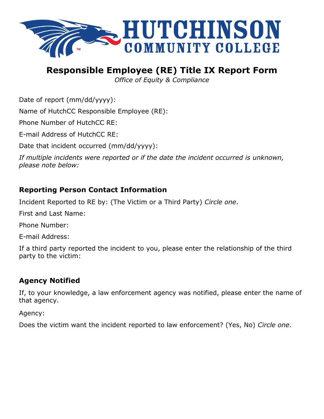

# **Responsible Employee (RE) Title IX Report Form**

*Office of Equity & Compliance*

Date of report (mm/dd/yyyy):

Name of HutchCC Responsible Employee (RE):

Phone Number of HutchCC RE:

E-mail Address of HutchCC RE:

Date that incident occurred (mm/dd/yyyy):

*If multiple incidents were reported or if the date the incident occurred is unknown, please note below:*

### **Reporting Person Contact Information**

Incident Reported to RE by: (The Victim or a Third Party) *Circle one*.

First and Last Name:

Phone Number:

E-mail Address:

If a third party reported the incident to you, please enter the relationship of the third party to the victim:

### **Agency Notified**

If, to your knowledge, a law enforcement agency was notified, please enter the name of that agency.

Agency:

Does the victim want the incident reported to law enforcement? (Yes, No) *Circle one*.